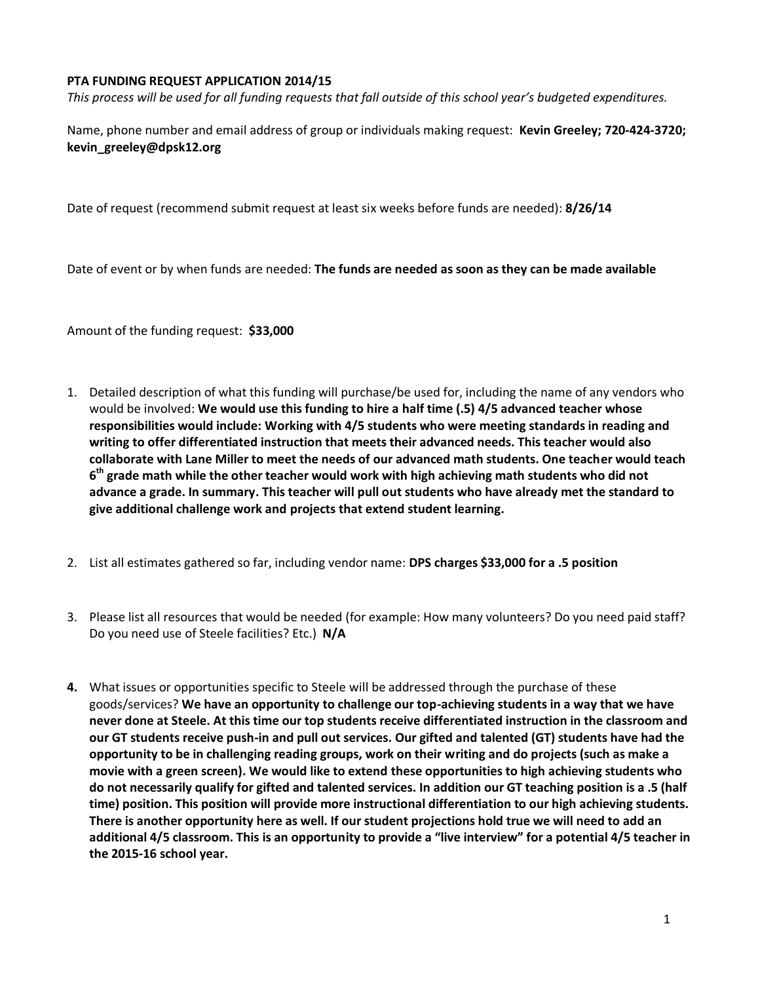## **PTA FUNDING REQUEST APPLICATION 2014/15**

*This process will be used for all funding requests that fall outside of this school year's budgeted expenditures.*

Name, phone number and email address of group or individuals making request: **Kevin Greeley; 720-424-3720; kevin\_greeley@dpsk12.org**

Date of request (recommend submit request at least six weeks before funds are needed): **8/26/14**

Date of event or by when funds are needed: **The funds are needed as soon as they can be made available**

Amount of the funding request: **\$33,000**

- 1. Detailed description of what this funding will purchase/be used for, including the name of any vendors who would be involved: **We would use this funding to hire a half time (.5) 4/5 advanced teacher whose responsibilities would include: Working with 4/5 students who were meeting standards in reading and writing to offer differentiated instruction that meets their advanced needs. This teacher would also collaborate with Lane Miller to meet the needs of our advanced math students. One teacher would teach 6 th grade math while the other teacher would work with high achieving math students who did not advance a grade. In summary. This teacher will pull out students who have already met the standard to give additional challenge work and projects that extend student learning.**
- 2. List all estimates gathered so far, including vendor name: **DPS charges \$33,000 for a .5 position**
- 3. Please list all resources that would be needed (for example: How many volunteers? Do you need paid staff? Do you need use of Steele facilities? Etc.) **N/A**
- **4.** What issues or opportunities specific to Steele will be addressed through the purchase of these goods/services? **We have an opportunity to challenge our top-achieving students in a way that we have never done at Steele. At this time our top students receive differentiated instruction in the classroom and our GT students receive push-in and pull out services. Our gifted and talented (GT) students have had the opportunity to be in challenging reading groups, work on their writing and do projects (such as make a movie with a green screen). We would like to extend these opportunities to high achieving students who do not necessarily qualify for gifted and talented services. In addition our GT teaching position is a .5 (half time) position. This position will provide more instructional differentiation to our high achieving students. There is another opportunity here as well. If our student projections hold true we will need to add an additional 4/5 classroom. This is an opportunity to provide a "live interview" for a potential 4/5 teacher in the 2015-16 school year.**